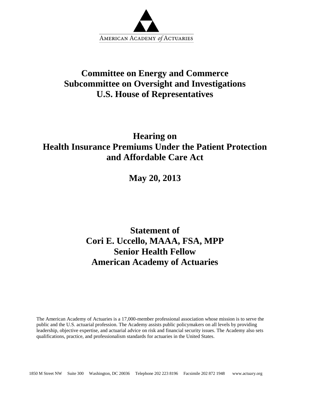

## **Committee on Energy and Commerce Subcommittee on Oversight and Investigations U.S. House of Representatives**

### **Hearing on Health Insurance Premiums Under the Patient Protection and Affordable Care Act**

**May 20, 2013**

# **Statement of Cori E. Uccello, MAAA, FSA, MPP Senior Health Fellow American Academy of Actuaries**

The American Academy of Actuaries is a 17,000-member professional association whose mission is to serve the public and the U.S. actuarial profession. The Academy assists public policymakers on all levels by providing leadership, objective expertise, and actuarial advice on risk and financial security issues. The Academy also sets qualifications, practice, and professionalism standards for actuaries in the United States.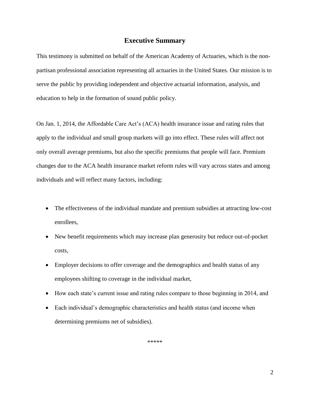#### **Executive Summary**

This testimony is submitted on behalf of the American Academy of Actuaries, which is the nonpartisan professional association representing all actuaries in the United States. Our mission is to serve the public by providing independent and objective actuarial information, analysis, and education to help in the formation of sound public policy.

On Jan. 1, 2014, the Affordable Care Act's (ACA) health insurance issue and rating rules that apply to the individual and small group markets will go into effect. These rules will affect not only overall average premiums, but also the specific premiums that people will face. Premium changes due to the ACA health insurance market reform rules will vary across states and among individuals and will reflect many factors, including:

- The effectiveness of the individual mandate and premium subsidies at attracting low-cost enrollees,
- New benefit requirements which may increase plan generosity but reduce out-of-pocket costs,
- Employer decisions to offer coverage and the demographics and health status of any employees shifting to coverage in the individual market,
- How each state's current issue and rating rules compare to those beginning in 2014, and
- Each individual's demographic characteristics and health status (and income when determining premiums net of subsidies).

\*\*\*\*\*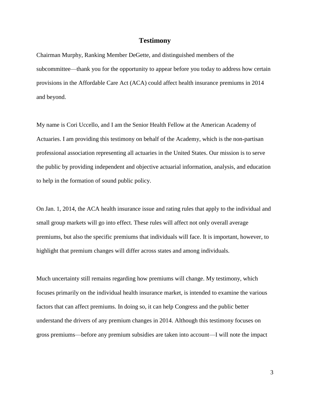#### **Testimony**

Chairman Murphy, Ranking Member DeGette, and distinguished members of the subcommittee—thank you for the opportunity to appear before you today to address how certain provisions in the Affordable Care Act (ACA) could affect health insurance premiums in 2014 and beyond.

My name is Cori Uccello, and I am the Senior Health Fellow at the American Academy of Actuaries. I am providing this testimony on behalf of the Academy, which is the non-partisan professional association representing all actuaries in the United States. Our mission is to serve the public by providing independent and objective actuarial information, analysis, and education to help in the formation of sound public policy.

On Jan. 1, 2014, the ACA health insurance issue and rating rules that apply to the individual and small group markets will go into effect. These rules will affect not only overall average premiums, but also the specific premiums that individuals will face. It is important, however, to highlight that premium changes will differ across states and among individuals.

Much uncertainty still remains regarding how premiums will change. My testimony, which focuses primarily on the individual health insurance market, is intended to examine the various factors that can affect premiums. In doing so, it can help Congress and the public better understand the drivers of any premium changes in 2014. Although this testimony focuses on gross premiums—before any premium subsidies are taken into account—I will note the impact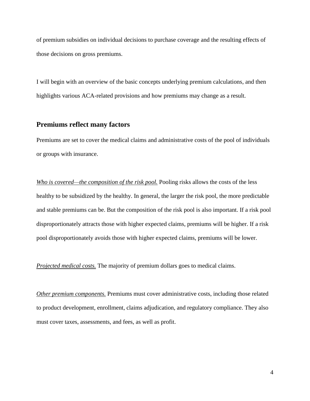of premium subsidies on individual decisions to purchase coverage and the resulting effects of those decisions on gross premiums.

I will begin with an overview of the basic concepts underlying premium calculations, and then highlights various ACA-related provisions and how premiums may change as a result.

#### **Premiums reflect many factors**

Premiums are set to cover the medical claims and administrative costs of the pool of individuals or groups with insurance.

*Who is covered—the composition of the risk pool.* Pooling risks allows the costs of the less healthy to be subsidized by the healthy. In general, the larger the risk pool, the more predictable and stable premiums can be. But the composition of the risk pool is also important. If a risk pool disproportionately attracts those with higher expected claims, premiums will be higher. If a risk pool disproportionately avoids those with higher expected claims, premiums will be lower.

*Projected medical costs.* The majority of premium dollars goes to medical claims.

*Other premium components.* Premiums must cover administrative costs, including those related to product development, enrollment, claims adjudication, and regulatory compliance. They also must cover taxes, assessments, and fees, as well as profit.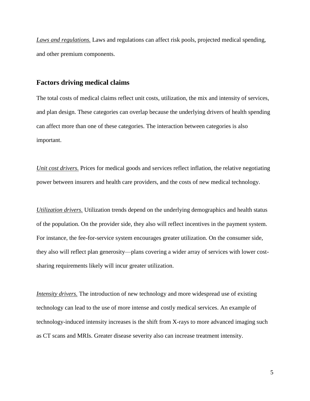*Laws and regulations.* Laws and regulations can affect risk pools, projected medical spending, and other premium components.

#### **Factors driving medical claims**

The total costs of medical claims reflect unit costs, utilization, the mix and intensity of services, and plan design. These categories can overlap because the underlying drivers of health spending can affect more than one of these categories. The interaction between categories is also important.

*Unit cost drivers.* Prices for medical goods and services reflect inflation, the relative negotiating power between insurers and health care providers, and the costs of new medical technology.

*Utilization drivers.* Utilization trends depend on the underlying demographics and health status of the population. On the provider side, they also will reflect incentives in the payment system. For instance, the fee-for-service system encourages greater utilization. On the consumer side, they also will reflect plan generosity—plans covering a wider array of services with lower costsharing requirements likely will incur greater utilization.

*Intensity drivers.* The introduction of new technology and more widespread use of existing technology can lead to the use of more intense and costly medical services. An example of technology-induced intensity increases is the shift from X-rays to more advanced imaging such as CT scans and MRIs. Greater disease severity also can increase treatment intensity.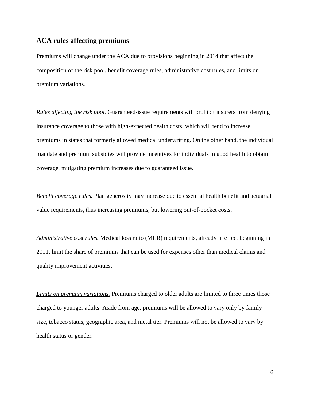### **ACA rules affecting premiums**

Premiums will change under the ACA due to provisions beginning in 2014 that affect the composition of the risk pool, benefit coverage rules, administrative cost rules, and limits on premium variations.

*Rules affecting the risk pool.* Guaranteed-issue requirements will prohibit insurers from denying insurance coverage to those with high-expected health costs, which will tend to increase premiums in states that formerly allowed medical underwriting. On the other hand, the individual mandate and premium subsidies will provide incentives for individuals in good health to obtain coverage, mitigating premium increases due to guaranteed issue.

*Benefit coverage rules.* Plan generosity may increase due to essential health benefit and actuarial value requirements, thus increasing premiums, but lowering out-of-pocket costs.

*Administrative cost rules.* Medical loss ratio (MLR) requirements, already in effect beginning in 2011, limit the share of premiums that can be used for expenses other than medical claims and quality improvement activities.

*Limits on premium variations.* Premiums charged to older adults are limited to three times those charged to younger adults. Aside from age, premiums will be allowed to vary only by family size, tobacco status, geographic area, and metal tier. Premiums will not be allowed to vary by health status or gender.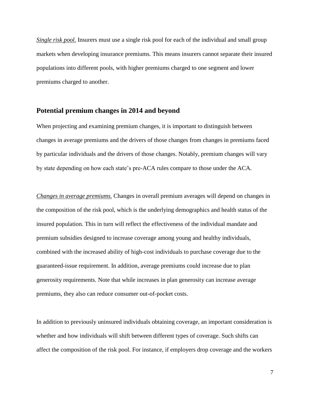*Single risk pool.* Insurers must use a single risk pool for each of the individual and small group markets when developing insurance premiums. This means insurers cannot separate their insured populations into different pools, with higher premiums charged to one segment and lower premiums charged to another.

#### **Potential premium changes in 2014 and beyond**

When projecting and examining premium changes, it is important to distinguish between changes in average premiums and the drivers of those changes from changes in premiums faced by particular individuals and the drivers of those changes. Notably, premium changes will vary by state depending on how each state's pre-ACA rules compare to those under the ACA.

*Changes in average premiums.* Changes in overall premium averages will depend on changes in the composition of the risk pool, which is the underlying demographics and health status of the insured population. This in turn will reflect the effectiveness of the individual mandate and premium subsidies designed to increase coverage among young and healthy individuals, combined with the increased ability of high-cost individuals to purchase coverage due to the guaranteed-issue requirement. In addition, average premiums could increase due to plan generosity requirements. Note that while increases in plan generosity can increase average premiums, they also can reduce consumer out-of-pocket costs.

In addition to previously uninsured individuals obtaining coverage, an important consideration is whether and how individuals will shift between different types of coverage. Such shifts can affect the composition of the risk pool. For instance, if employers drop coverage and the workers

7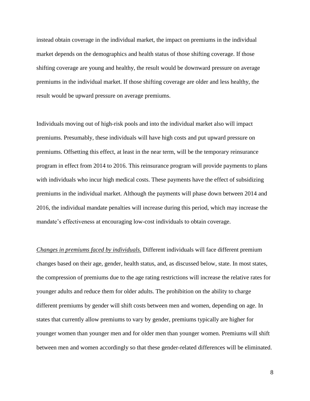instead obtain coverage in the individual market, the impact on premiums in the individual market depends on the demographics and health status of those shifting coverage. If those shifting coverage are young and healthy, the result would be downward pressure on average premiums in the individual market. If those shifting coverage are older and less healthy, the result would be upward pressure on average premiums.

Individuals moving out of high-risk pools and into the individual market also will impact premiums. Presumably, these individuals will have high costs and put upward pressure on premiums. Offsetting this effect, at least in the near term, will be the temporary reinsurance program in effect from 2014 to 2016. This reinsurance program will provide payments to plans with individuals who incur high medical costs. These payments have the effect of subsidizing premiums in the individual market. Although the payments will phase down between 2014 and 2016, the individual mandate penalties will increase during this period, which may increase the mandate's effectiveness at encouraging low-cost individuals to obtain coverage.

*Changes in premiums faced by individuals.* Different individuals will face different premium changes based on their age, gender, health status, and, as discussed below, state. In most states, the compression of premiums due to the age rating restrictions will increase the relative rates for younger adults and reduce them for older adults. The prohibition on the ability to charge different premiums by gender will shift costs between men and women, depending on age. In states that currently allow premiums to vary by gender, premiums typically are higher for younger women than younger men and for older men than younger women. Premiums will shift between men and women accordingly so that these gender-related differences will be eliminated.

8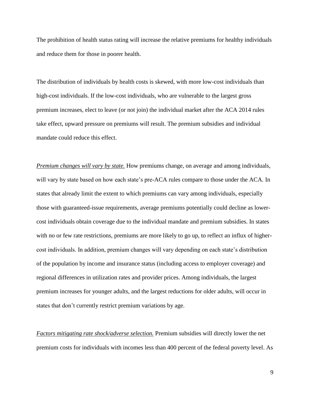The prohibition of health status rating will increase the relative premiums for healthy individuals and reduce them for those in poorer health.

The distribution of individuals by health costs is skewed, with more low-cost individuals than high-cost individuals. If the low-cost individuals, who are vulnerable to the largest gross premium increases, elect to leave (or not join) the individual market after the ACA 2014 rules take effect, upward pressure on premiums will result. The premium subsidies and individual mandate could reduce this effect.

*Premium changes will vary by state.* How premiums change, on average and among individuals, will vary by state based on how each state's pre-ACA rules compare to those under the ACA. In states that already limit the extent to which premiums can vary among individuals, especially those with guaranteed-issue requirements, average premiums potentially could decline as lowercost individuals obtain coverage due to the individual mandate and premium subsidies. In states with no or few rate restrictions, premiums are more likely to go up, to reflect an influx of highercost individuals. In addition, premium changes will vary depending on each state's distribution of the population by income and insurance status (including access to employer coverage) and regional differences in utilization rates and provider prices. Among individuals, the largest premium increases for younger adults, and the largest reductions for older adults, will occur in states that don't currently restrict premium variations by age.

*Factors mitigating rate shock/adverse selection.* Premium subsidies will directly lower the net premium costs for individuals with incomes less than 400 percent of the federal poverty level. As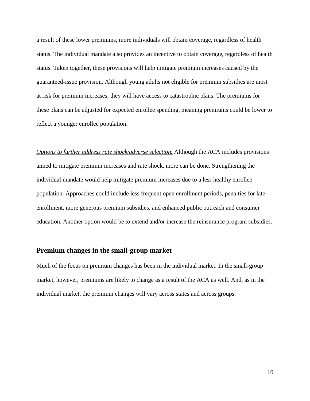a result of these lower premiums, more individuals will obtain coverage, regardless of health status. The individual mandate also provides an incentive to obtain coverage, regardless of health status. Taken together, these provisions will help mitigate premium increases caused by the guaranteed-issue provision. Although young adults not eligible for premium subsidies are most at risk for premium increases, they will have access to catastrophic plans. The premiums for these plans can be adjusted for expected enrollee spending, meaning premiums could be lower to reflect a younger enrollee population.

*Options to further address rate shock/adverse selection.* Although the ACA includes provisions aimed to mitigate premium increases and rate shock, more can be done. Strengthening the individual mandate would help mitigate premium increases due to a less healthy enrollee population. Approaches could include less frequent open enrollment periods, penalties for late enrollment, more generous premium subsidies, and enhanced public outreach and consumer education. Another option would be to extend and/or increase the reinsurance program subsidies.

#### **Premium changes in the small-group market**

Much of the focus on premium changes has been in the individual market. In the small-group market, however, premiums are likely to change as a result of the ACA as well. And, as in the individual market, the premium changes will vary across states and across groups.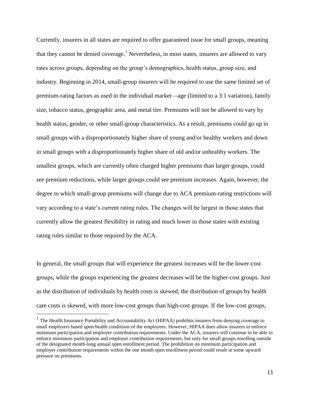Currently, insurers in all states are required to offer guaranteed issue for small groups, meaning that they cannot be denied coverage.<sup>1</sup> Nevertheless, in most states, insurers are allowed to vary rates across groups, depending on the group's demographics, health status, group size, and industry. Beginning in 2014, small-group insurers will be required to use the same limited set of premium-rating factors as used in the individual market—age (limited to a 3:1 variation), family size, tobacco status, geographic area, and metal tier. Premiums will not be allowed to vary by health status, gender, or other small-group characteristics. As a result, premiums could go up in small groups with a disproportionately higher share of young and/or healthy workers and down in small groups with a disproportionately higher share of old and/or unhealthy workers. The smallest groups, which are currently often charged higher premiums than larger groups, could see premium reductions, while larger groups could see premium increases. Again, however, the degree to which small-group premiums will change due to ACA premium-rating restrictions will vary according to a state's current rating rules. The changes will be largest in those states that currently allow the greatest flexibility in rating and much lower in those states with existing rating rules similar to those required by the ACA.

In general, the small groups that will experience the greatest increases will be the lower-cost groups, while the groups experiencing the greatest decreases will be the higher-cost groups. Just as the distribution of individuals by health costs is skewed, the distribution of groups by health care costs is skewed, with more low-cost groups than high-cost groups. If the low-cost groups,

 $\overline{a}$ 

<sup>&</sup>lt;sup>1</sup> The Health Insurance Portability and Accountability Act (HIPAA) prohibits insurers from denying coverage to small employers based upon health conditions of the employees. However, HIPAA does allow insurers to enforce minimum participation and employer contribution requirements. Under the ACA, insurers will continue to be able to enforce minimum participation and employer contribution requirements, but only for small groups enrolling outside of the designated month-long annual open enrollment period. The prohibition on minimum participation and employer contribution requirements within the one month open enrollment period could result in some upward pressure on premiums.